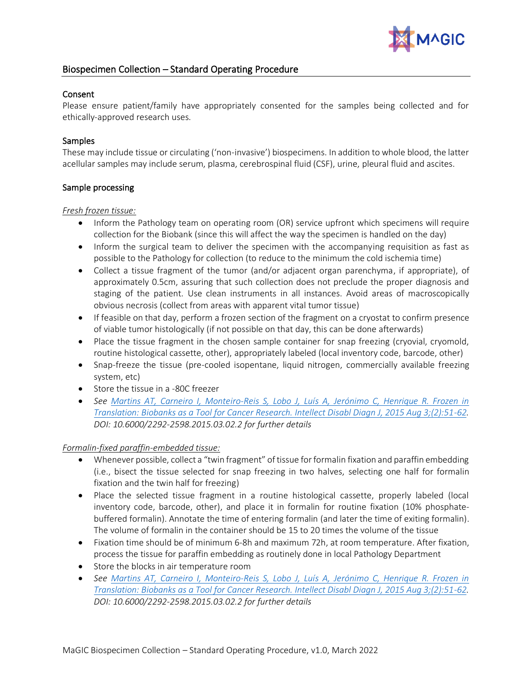

# Biospecimen Collection – Standard Operating Procedure

#### Consent

Please ensure patient/family have appropriately consented for the samples being collected and for ethically-approved research uses.

### Samples

These may include tissue or circulating ('non-invasive') biospecimens. In addition to whole blood, the latter acellular samples may include serum, plasma, cerebrospinal fluid (CSF), urine, pleural fluid and ascites.

### Sample processing

#### *Fresh frozen tissue:*

- Inform the Pathology team on operating room (OR) service upfront which specimens will require collection for the Biobank (since this will affect the way the specimen is handled on the day)
- Inform the surgical team to deliver the specimen with the accompanying requisition as fast as possible to the Pathology for collection (to reduce to the minimum the cold ischemia time)
- Collect a tissue fragment of the tumor (and/or adjacent organ parenchyma, if appropriate), of approximately 0.5cm, assuring that such collection does not preclude the proper diagnosis and staging of the patient. Use clean instruments in all instances. Avoid areas of macroscopically obvious necrosis (collect from areas with apparent vital tumor tissue)
- If feasible on that day, perform a frozen section of the fragment on a cryostat to confirm presence of viable tumor histologically (if not possible on that day, this can be done afterwards)
- Place the tissue fragment in the chosen sample container for snap freezing (cryovial, cryomold, routine histological cassette, other), appropriately labeled (local inventory code, barcode, other)
- Snap-freeze the tissue (pre-cooled isopentane, liquid nitrogen, commercially available freezing system, etc)
- Store the tissue in a -80C freezer
- *See [Martins AT, Carneiro I, Monteiro-Reis S, Lobo J, Luís A, Jerónimo C, Henrique R. Frozen in](https://www.lifescienceglobal.com/journals/journal-of-intellectual-disability-diagnosis-and-treatment/volume-3-number-2/82-abstract/jiddt/1716-abstract-frozen-in-translation-biobanks-as-a-tool-for-cancer-research)  [Translation: Biobanks as a Tool for Cancer Research. Intellect Disabl Diagn J, 2015 Aug 3;\(2\):51-62.](https://www.lifescienceglobal.com/journals/journal-of-intellectual-disability-diagnosis-and-treatment/volume-3-number-2/82-abstract/jiddt/1716-abstract-frozen-in-translation-biobanks-as-a-tool-for-cancer-research) DOI: [10.6000/2292-2598.2015.03.02.2](http://dx.doi.org/10.6000/2292-2598.2015.03.02.2) for further details*

#### *Formalin-fixed paraffin-embedded tissue:*

- Whenever possible, collect a "twin fragment" of tissue for formalin fixation and paraffin embedding (i.e., bisect the tissue selected for snap freezing in two halves, selecting one half for formalin fixation and the twin half for freezing)
- Place the selected tissue fragment in a routine histological cassette, properly labeled (local inventory code, barcode, other), and place it in formalin for routine fixation (10% phosphatebuffered formalin). Annotate the time of entering formalin (and later the time of exiting formalin). The volume of formalin in the container should be 15 to 20 times the volume of the tissue
- Fixation time should be of minimum 6-8h and maximum 72h, at room temperature. After fixation, process the tissue for paraffin embedding as routinely done in local Pathology Department
- Store the blocks in air temperature room
- *See [Martins AT, Carneiro I, Monteiro-Reis S, Lobo J, Luís A, Jerónimo C, Henrique R. Frozen in](https://www.lifescienceglobal.com/journals/journal-of-intellectual-disability-diagnosis-and-treatment/volume-3-number-2/82-abstract/jiddt/1716-abstract-frozen-in-translation-biobanks-as-a-tool-for-cancer-research)  [Translation: Biobanks as a Tool for Cancer Research. Intellect Disabl Diagn J, 2015 Aug 3;\(2\):51-62.](https://www.lifescienceglobal.com/journals/journal-of-intellectual-disability-diagnosis-and-treatment/volume-3-number-2/82-abstract/jiddt/1716-abstract-frozen-in-translation-biobanks-as-a-tool-for-cancer-research) DOI: [10.6000/2292-2598.2015.03.02.2](http://dx.doi.org/10.6000/2292-2598.2015.03.02.2) for further details*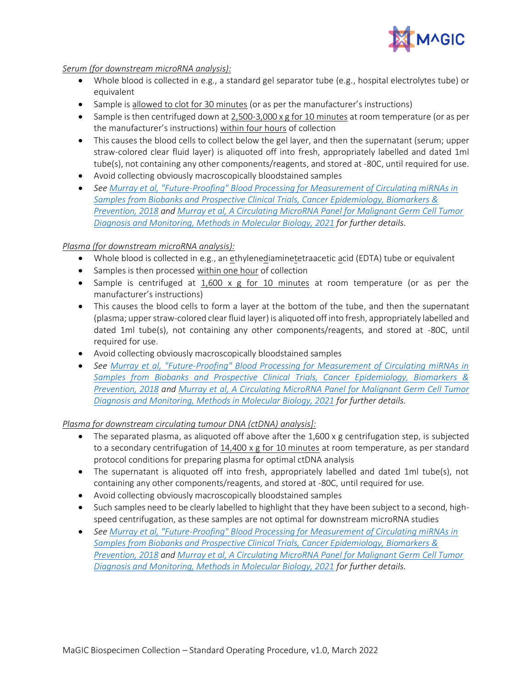

*Serum (for downstream microRNA analysis):*

- Whole blood is collected in e.g., a standard gel separator tube (e.g., hospital electrolytes tube) or equivalent
- Sample is allowed to clot for 30 minutes (or as per the manufacturer's instructions)
- Sample is then centrifuged down at 2,500-3,000 x g for 10 minutes at room temperature (or as per the manufacturer's instructions) within four hours of collection
- This causes the blood cells to collect below the gel layer, and then the supernatant (serum; upper straw-colored clear fluid layer) is aliquoted off into fresh, appropriately labelled and dated 1ml tube(s), not containing any other components/reagents, and stored at -80C, until required for use.
- Avoid collecting obviously macroscopically bloodstained samples
- *Se[e Murray et al, "Future-Proofing" Blood Processing for Measurement of Circulating miRNAs in](https://pubmed.ncbi.nlm.nih.gov/29254935/)  [Samples from Biobanks and Prospective Clinical Trials, Cancer Epidemiology, Biomarkers &](https://pubmed.ncbi.nlm.nih.gov/29254935/)  [Prevention, 2018](https://pubmed.ncbi.nlm.nih.gov/29254935/) and [Murray et al, A Circulating MicroRNA Panel for Malignant Germ Cell Tumor](https://pubmed.ncbi.nlm.nih.gov/32852767/)  [Diagnosis and Monitoring, Methods in Molecular Biology, 2021](https://pubmed.ncbi.nlm.nih.gov/32852767/) for further details.*

## *Plasma (for downstream microRNA analysis):*

- Whole blood is collected in e.g., an ethylenediaminetetraacetic acid (EDTA) tube or equivalent
- Samples is then processed within one hour of collection
- Sample is centrifuged at 1,600 x g for 10 minutes at room temperature (or as per the manufacturer's instructions)
- This causes the blood cells to form a layer at the bottom of the tube, and then the supernatant (plasma; upper straw-colored clear fluid layer) is aliquoted off into fresh, appropriately labelled and dated 1ml tube(s), not containing any other components/reagents, and stored at -80C, until required for use.
- Avoid collecting obviously macroscopically bloodstained samples
- *See [Murray et al, "Future-Proofing" Blood Processing for Measurement of Circulating miRNAs in](https://pubmed.ncbi.nlm.nih.gov/29254935/)  [Samples from Biobanks and Prospective Clinical Trials, Cancer Epidemiology, Biomarkers &](https://pubmed.ncbi.nlm.nih.gov/29254935/)  [Prevention, 2018](https://pubmed.ncbi.nlm.nih.gov/29254935/) and [Murray et al, A Circulating MicroRNA Panel for Malignant Germ Cell Tumor](https://pubmed.ncbi.nlm.nih.gov/32852767/)  [Diagnosis and Monitoring, Methods in Molecular Biology, 2021](https://pubmed.ncbi.nlm.nih.gov/32852767/) for further details.*

*Plasma for downstream circulating tumour DNA (ctDNA) analysis]:*

- The separated plasma, as aliquoted off above after the  $1,600 \times g$  centrifugation step, is subjected to a secondary centrifugation of 14,400 x g for 10 minutes at room temperature, as per standard protocol conditions for preparing plasma for optimal ctDNA analysis
- The supernatant is aliquoted off into fresh, appropriately labelled and dated 1ml tube(s), not containing any other components/reagents, and stored at -80C, until required for use.
- Avoid collecting obviously macroscopically bloodstained samples
- Such samples need to be clearly labelled to highlight that they have been subject to a second, highspeed centrifugation, as these samples are not optimal for downstream microRNA studies
- *Se[e Murray et al, "Future-Proofing" Blood Processing for Measurement of Circulating miRNAs in](https://pubmed.ncbi.nlm.nih.gov/29254935/)  [Samples from Biobanks and Prospective Clinical Trials, Cancer Epidemiology, Biomarkers &](https://pubmed.ncbi.nlm.nih.gov/29254935/)  [Prevention, 2018](https://pubmed.ncbi.nlm.nih.gov/29254935/) and [Murray et al, A Circulating MicroRNA Panel for Malignant Germ Cell Tumor](https://pubmed.ncbi.nlm.nih.gov/32852767/)  [Diagnosis and Monitoring, Methods in Molecular Biology, 2021](https://pubmed.ncbi.nlm.nih.gov/32852767/) for further details.*